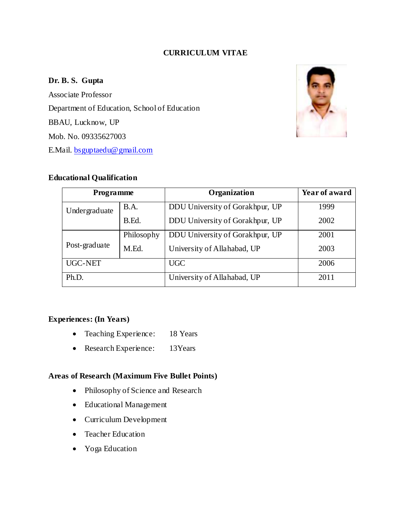# **CURRICULUM VITAE**

### **Dr. B. S. Gupta**

Associate Professor Department of Education, School of Education BBAU, Lucknow, UP Mob. No. 09335627003 [E.Mail. bsguptaedu@gmail.com](mailto:E.Mail.%20bsguptaedu@gmail.com)



### **Educational Qualification**

| Programme     |            | Organization                    | Year of award |
|---------------|------------|---------------------------------|---------------|
| Undergraduate | B.A.       | DDU University of Gorakhpur, UP | 1999          |
|               | B.Ed.      | DDU University of Gorakhpur, UP | 2002          |
| Post-graduate | Philosophy | DDU University of Gorakhpur, UP | 2001          |
|               | M.Ed.      | University of Allahabad, UP     | 2003          |
| UGC-NET       |            | UGC                             | 2006          |
| Ph.D.         |            | University of Allahabad, UP     | 2011          |

# **Experiences: (In Years)**

- Teaching Experience: 18 Years
- Research Experience: 13Years

# **Areas of Research (Maximum Five Bullet Points)**

- Philosophy of Science and Research
- Educational Management
- Curriculum Development
- Teacher Education
- Yoga Education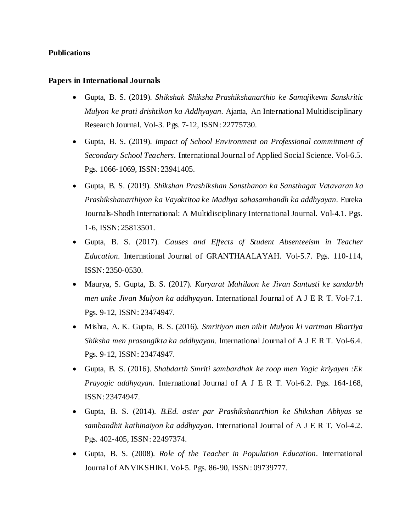#### **Publications**

#### **Papers in International Journals**

- Gupta, B. S. (2019). *Shikshak Shiksha Prashikshanarthio ke Samajikevm Sanskritic Mulyon ke prati drishtikon ka Addhyayan*. Ajanta, An International Multidisciplinary Research Journal. Vol-3. Pgs. 7-12, ISSN: 22775730.
- Gupta, B. S. (2019). *Impact of School Environment on Professional commitment of Secondary School Teachers*. InternationalJournal of Applied Social Science. Vol-6.5. Pgs. 1066-1069, ISSN: 23941405.
- Gupta, B. S. (2019). *Shikshan Prashikshan Sansthanon ka Sansthagat Vatavaran ka Prashikshanarthiyon ka Vayaktitoa ke Madhya sahasambandh ka addhyayan*. Eureka Journals-Shodh International: A Multidisciplinary International Journal. Vol-4.1. Pgs. 1-6, ISSN: 25813501.
- Gupta, B. S. (2017). *Causes and Effects of Student Absenteeism in Teacher Education*. International Journal of GRANTHAALAYAH. Vol-5.7. Pgs. 110-114, ISSN: 2350-0530.
- Maurya, S. Gupta, B. S. (2017). *Karyarat Mahilaon ke Jivan Santusti ke sandarbh men unke Jivan Mulyon ka addhyayan*. International Journal of A J E R T. Vol-7.1. Pgs. 9-12, ISSN: 23474947.
- Mishra, A. K. Gupta, B. S. (2016). *Smritiyon men nihit Mulyon ki vartman Bhartiya Shiksha men prasangikta ka addhyayan*. International Journal of A J E R T. Vol-6.4. Pgs. 9-12, ISSN: 23474947.
- Gupta, B. S. (2016). *Shabdarth Smriti sambardhak ke roop men Yogic kriyayen :Ek Prayogic addhyayan*. International Journal of A J E R T. Vol-6.2. Pgs. 164-168, ISSN: 23474947.
- Gupta, B. S. (2014). *B.Ed. aster par Prashikshanrthion ke Shikshan Abhyas se sambandhit kathinaiyon ka addhyayan*. International Journal of A J E R T. Vol-4.2. Pgs. 402-405, ISSN: 22497374.
- Gupta, B. S. (2008). *Role of the Teacher in Population Education*. International Journal of ANVIKSHIKI. Vol-5. Pgs. 86-90, ISSN: 09739777.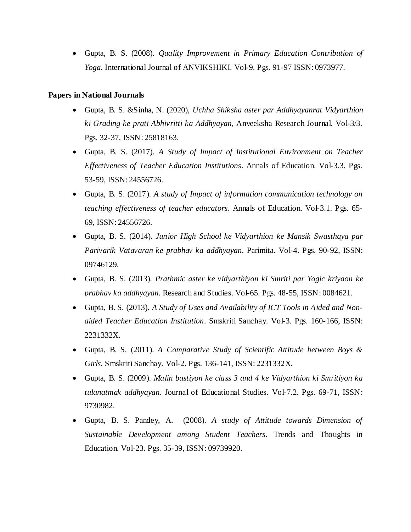Gupta, B. S. (2008). *Quality Improvement in Primary Education Contribution of Yoga*. International Journal of ANVIKSHIKI. Vol-9. Pgs. 91-97 ISSN: 0973977.

#### **Papers in National Journals**

- Gupta, B. S. &Sinha, N. (2020), *Uchha Shiksha aster par Addhyayanrat Vidyarthion ki Grading ke prati Abhivritti ka Addhyayan*, Anveeksha Research Journal. Vol-3/3. Pgs. 32-37, ISSN: 25818163.
- Gupta, B. S. (2017). *A Study of Impact of Institutional Environment on Teacher Effectiveness of Teacher Education Institutions*. Annals of Education. Vol-3.3. Pgs. 53-59, ISSN: 24556726.
- Gupta, B. S. (2017). *A study of Impact of information communication technology on teaching effectiveness of teacher educators*. Annals of Education. Vol-3.1. Pgs. 65- 69, ISSN: 24556726.
- Gupta, B. S. (2014). *Junior High School ke Vidyarthion ke Mansik Swasthaya par Parivarik Vatavaran ke prabhav ka addhyayan*. Parimita. Vol-4. Pgs. 90-92, ISSN: 09746129.
- Gupta, B. S. (2013). *Prathmic aster ke vidyarthiyon ki Smriti par Yogic kriyaon ke prabhav ka addhyayan*. Research and Studies. Vol-65. Pgs. 48-55, ISSN: 0084621.
- Gupta, B. S. (2013). *A Study of Uses and Availability of ICT Tools in Aided and Nonaided Teacher Education Institution*. Smskriti Sanchay. Vol-3. Pgs. 160-166, ISSN: 2231332X.
- Gupta, B. S. (2011). *A Comparative Study of Scientific Attitude between Boys & Girls*. Smskriti Sanchay. Vol-2. Pgs. 136-141, ISSN: 2231332X.
- Gupta, B. S. (2009). *Malin bastiyon ke class 3 and 4 ke Vidyarthion ki Smritiyon ka tulanatmak addhyayan*. Journal of Educational Studies. Vol-7.2. Pgs. 69-71, ISSN: 9730982.
- Gupta, B. S. Pandey, A. (2008). *A study of Attitude towards Dimension of Sustainable Development among Student Teachers*. Trends and Thoughts in Education. Vol-23. Pgs. 35-39, ISSN: 09739920.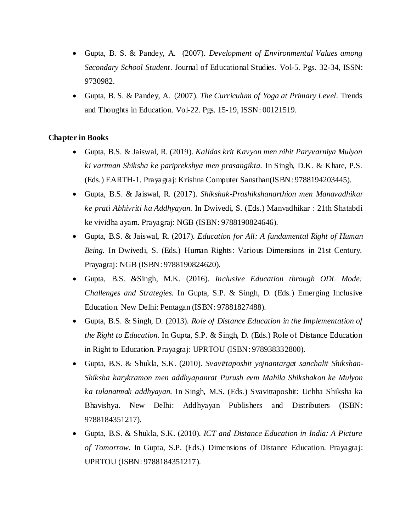- Gupta, B. S. & Pandey, A. (2007). *Development of Environmental Values among Secondary School Student*. Journal of Educational Studies. Vol-5. Pgs. 32-34, ISSN: 9730982.
- Gupta, B. S. & Pandey, A. (2007). *The Curriculum of Yoga at Primary Level*. Trends and Thoughts in Education. Vol-22. Pgs. 15-19, ISSN: 00121519.

### **Chapter in Books**

- Gupta, B.S. & Jaiswal, R. (2019). *Kalidas krit Kavyon men nihit Paryvarniya Mulyon ki vartman Shiksha ke pariprekshya men prasangikta.* In Singh, D.K. & Khare, P.S. (Eds.) EARTH-1. Prayagraj: Krishna Computer Sansthan(ISBN: 9788194203445).
- Gupta, B.S. & Jaiswal, R. (2017). *Shikshak-Prashikshanarthion men Manavadhikar ke prati Abhivriti ka Addhyayan.* In Dwivedi, S. (Eds.) Manvadhikar : 21th Shatabdi ke vividha ayam. Prayagraj: NGB (ISBN: 9788190824646).
- Gupta, B.S. & Jaiswal, R. (2017). *Education for All: A fundamental Right of Human Being.* In Dwivedi, S. (Eds.) Human Rights: Various Dimensions in 21st Century. Prayagraj: NGB (ISBN: 9788190824620).
- Gupta, B.S. &Singh, M.K. (2016). *Inclusive Education through ODL Mode: Challenges and Strategies.* In Gupta, S.P. & Singh, D. (Eds.) Emerging Inclusive Education. New Delhi: Pentagan (ISBN: 97881827488).
- Gupta, B.S. & Singh, D. (2013). *Role of Distance Education in the Implementation of the Right to Education.* In Gupta, S.P. & Singh, D. (Eds.) Role of Distance Education in Right to Education. Prayagraj: UPRTOU (ISBN: 978938332800).
- Gupta, B.S. & Shukla, S.K. (2010). *Svavittaposhit yojnantargat sanchalit Shikshan-Shiksha karykramon men addhyapanrat Purush evm Mahila Shikshakon ke Mulyon ka tulanatmak addhyayan.* In Singh, M.S. (Eds.) Svavittaposhit: Uchha Shiksha ka Bhavishya. New Delhi: Addhyayan Publishers and Distributers (ISBN: 9788184351217).
- Gupta, B.S. & Shukla, S.K. (2010). *ICT and Distance Education in India: A Picture of Tomorrow.* In Gupta, S.P. (Eds.) Dimensions of Distance Education. Prayagraj: UPRTOU (ISBN: 9788184351217).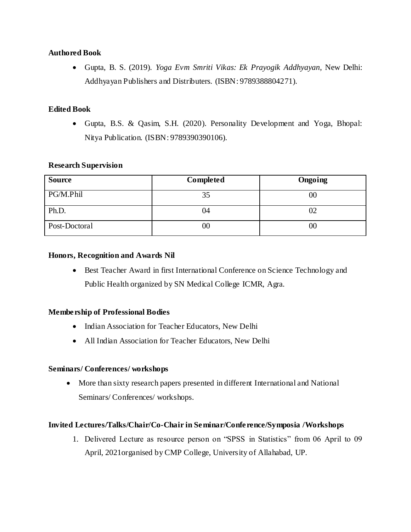### **Authored Book**

 Gupta, B. S. (2019). *Yoga Evm Smriti Vikas: Ek Prayogik Addhyayan*, New Delhi: Addhyayan Publishers and Distributers. (ISBN: 9789388804271).

# **Edited Book**

 Gupta, B.S. & Qasim, S.H. (2020). Personality Development and Yoga, Bhopal: Nitya Publication. (ISBN: 9789390390106).

### **Research Supervision**

| <b>Source</b> | Completed | Ongoing |
|---------------|-----------|---------|
| PG/M.Phil     |           | 0C      |
| Ph.D.         | 04        |         |
| Post-Doctoral | UU        | 0C      |

### **Honors, Recognition and Awards Nil**

 Best Teacher Award in first International Conference on Science Technology and Public Health organized by SN Medical College ICMR, Agra.

# **Membership of Professional Bodies**

- Indian Association for Teacher Educators, New Delhi
- All Indian Association for Teacher Educators, New Delhi

### **Seminars/ Conferences/ workshops**

 More than sixty research papers presented in different International and National Seminars/ Conferences/ workshops.

### **Invited Lectures/Talks/Chair/Co-Chair in Seminar/Conference/Symposia /Workshops**

1. Delivered Lecture as resource person on "SPSS in Statistics" from 06 April to 09 April, 2021organised by CMP College, University of Allahabad, UP.